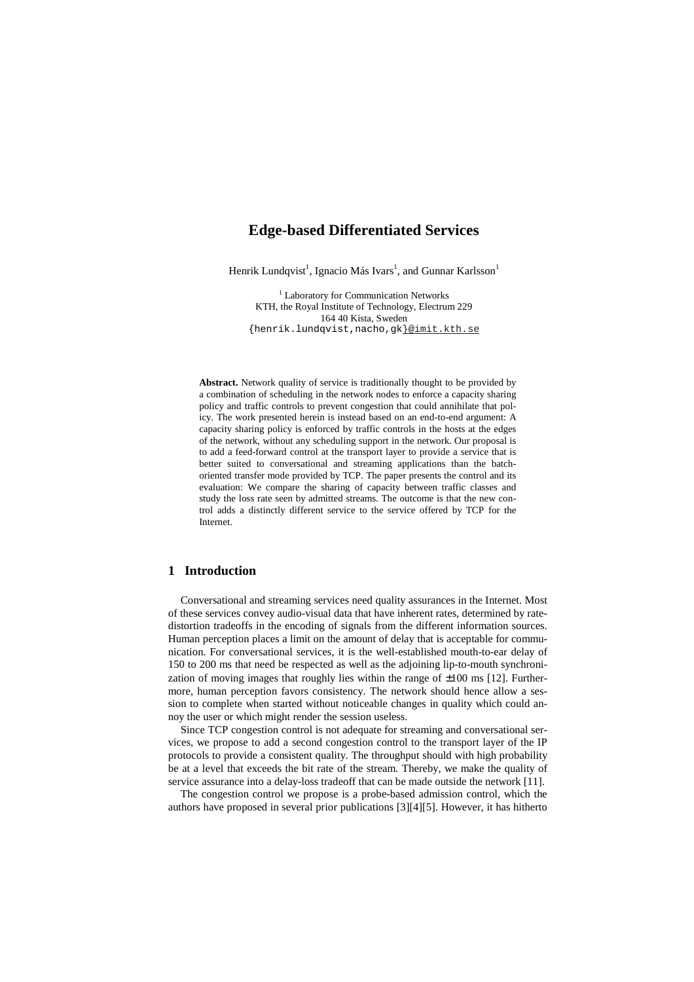# **Edge-based Differentiated Services**

Henrik Lundqvist<sup>1</sup>, Ignacio Más Ivars<sup>1</sup>, and Gunnar Karlsson<sup>1</sup>

<sup>1</sup> Laboratory for Communication Networks KTH, the Royal Institute of Technology, Electrum 229 164 40 Kista, Sweden {henrik.lundqvist,nacho,gk}@imit.kth.se

**Abstract.** Network quality of service is traditionally thought to be provided by a combination of scheduling in the network nodes to enforce a capacity sharing policy and traffic controls to prevent congestion that could annihilate that policy. The work presented herein is instead based on an end-to-end argument: A capacity sharing policy is enforced by traffic controls in the hosts at the edges of the network, without any scheduling support in the network. Our proposal is to add a feed-forward control at the transport layer to provide a service that is better suited to conversational and streaming applications than the batchoriented transfer mode provided by TCP. The paper presents the control and its evaluation: We compare the sharing of capacity between traffic classes and study the loss rate seen by admitted streams. The outcome is that the new control adds a distinctly different service to the service offered by TCP for the Internet.

# **1 Introduction**

Conversational and streaming services need quality assurances in the Internet. Most of these services convey audio-visual data that have inherent rates, determined by ratedistortion tradeoffs in the encoding of signals from the different information sources. Human perception places a limit on the amount of delay that is acceptable for communication. For conversational services, it is the well-established mouth-to-ear delay of 150 to 200 ms that need be respected as well as the adjoining lip-to-mouth synchronization of moving images that roughly lies within the range of  $\pm 100$  ms [12]. Furthermore, human perception favors consistency. The network should hence allow a session to complete when started without noticeable changes in quality which could annoy the user or which might render the session useless.

Since TCP congestion control is not adequate for streaming and conversational services, we propose to add a second congestion control to the transport layer of the IP protocols to provide a consistent quality. The throughput should with high probability be at a level that exceeds the bit rate of the stream. Thereby, we make the quality of service assurance into a delay-loss tradeoff that can be made outside the network [11].

The congestion control we propose is a probe-based admission control, which the authors have proposed in several prior publications [3][4][5]. However, it has hitherto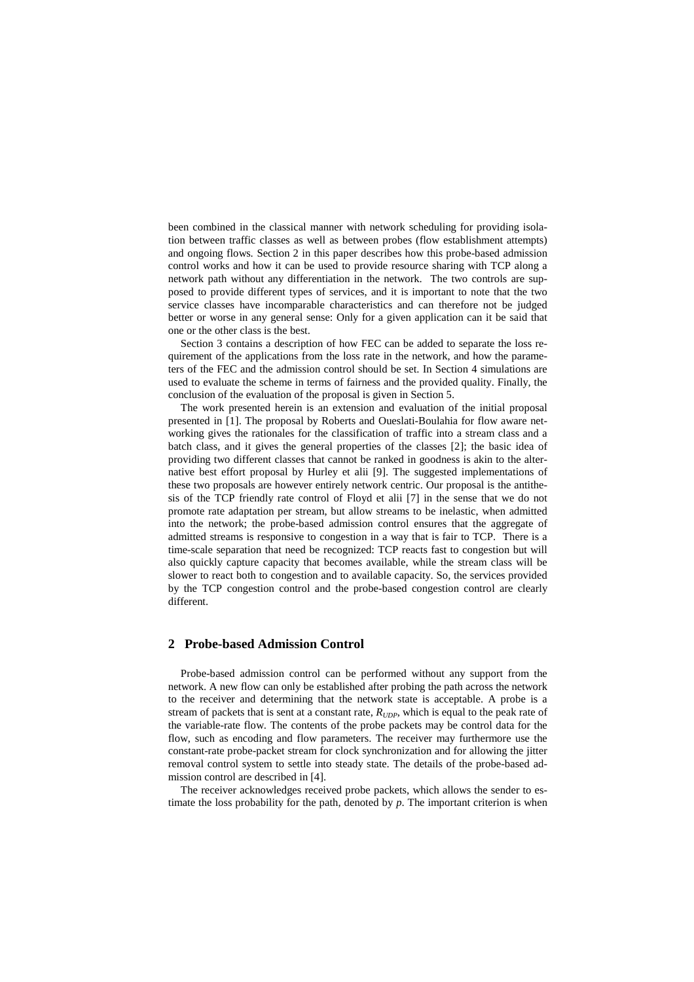been combined in the classical manner with network scheduling for providing isolation between traffic classes as well as between probes (flow establishment attempts) and ongoing flows. Section 2 in this paper describes how this probe-based admission control works and how it can be used to provide resource sharing with TCP along a network path without any differentiation in the network. The two controls are supposed to provide different types of services, and it is important to note that the two service classes have incomparable characteristics and can therefore not be judged better or worse in any general sense: Only for a given application can it be said that one or the other class is the best.

Section 3 contains a description of how FEC can be added to separate the loss requirement of the applications from the loss rate in the network, and how the parameters of the FEC and the admission control should be set. In Section 4 simulations are used to evaluate the scheme in terms of fairness and the provided quality. Finally, the conclusion of the evaluation of the proposal is given in Section 5.

The work presented herein is an extension and evaluation of the initial proposal presented in [1]. The proposal by Roberts and Oueslati-Boulahia for flow aware networking gives the rationales for the classification of traffic into a stream class and a batch class, and it gives the general properties of the classes [2]; the basic idea of providing two different classes that cannot be ranked in goodness is akin to the alternative best effort proposal by Hurley et alii [9]. The suggested implementations of these two proposals are however entirely network centric. Our proposal is the antithesis of the TCP friendly rate control of Floyd et alii [7] in the sense that we do not promote rate adaptation per stream, but allow streams to be inelastic, when admitted into the network; the probe-based admission control ensures that the aggregate of admitted streams is responsive to congestion in a way that is fair to TCP. There is a time-scale separation that need be recognized: TCP reacts fast to congestion but will also quickly capture capacity that becomes available, while the stream class will be slower to react both to congestion and to available capacity. So, the services provided by the TCP congestion control and the probe-based congestion control are clearly different.

#### **2 Probe-based Admission Control**

Probe-based admission control can be performed without any support from the network. A new flow can only be established after probing the path across the network to the receiver and determining that the network state is acceptable. A probe is a stream of packets that is sent at a constant rate, *RUDP*, which is equal to the peak rate of the variable-rate flow. The contents of the probe packets may be control data for the flow, such as encoding and flow parameters. The receiver may furthermore use the constant-rate probe-packet stream for clock synchronization and for allowing the jitter removal control system to settle into steady state. The details of the probe-based admission control are described in [4].

The receiver acknowledges received probe packets, which allows the sender to estimate the loss probability for the path, denoted by *p*. The important criterion is when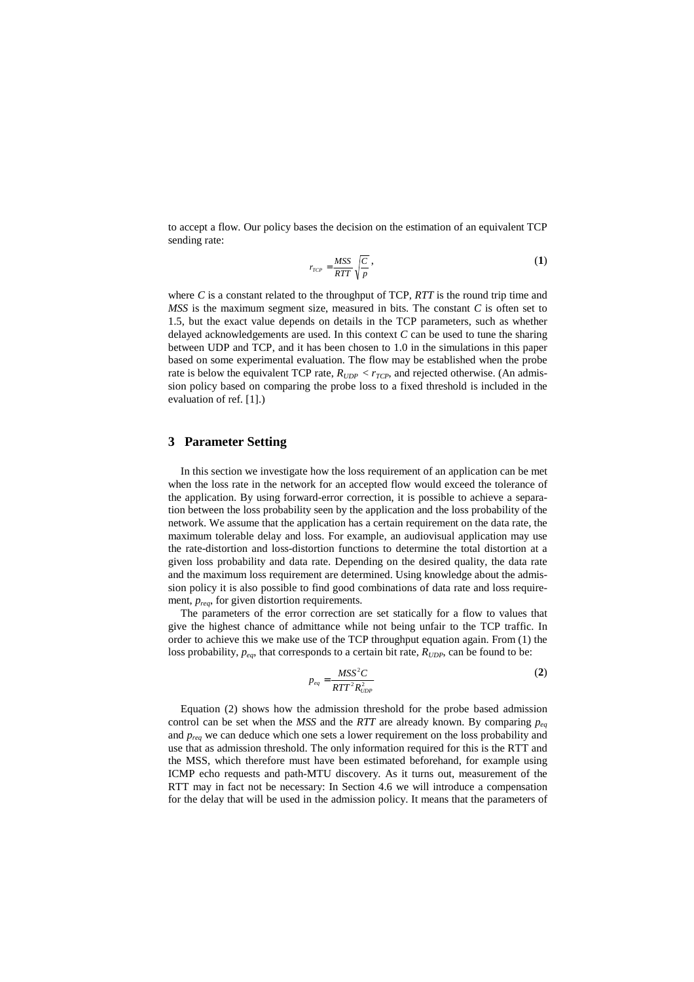to accept a flow. Our policy bases the decision on the estimation of an equivalent TCP sending rate:

$$
r_{rcp} = \frac{MSS}{RTT} \sqrt{\frac{C}{p}},
$$
\n(1)

where *C* is a constant related to the throughput of TCP, *RTT* is the round trip time and *MSS* is the maximum segment size, measured in bits. The constant *C* is often set to 1.5, but the exact value depends on details in the TCP parameters, such as whether delayed acknowledgements are used. In this context *C* can be used to tune the sharing between UDP and TCP, and it has been chosen to 1.0 in the simulations in this paper based on some experimental evaluation. The flow may be established when the probe rate is below the equivalent TCP rate,  $R_{UDP} < r_{TCP}$ , and rejected otherwise. (An admission policy based on comparing the probe loss to a fixed threshold is included in the evaluation of ref. [1].)

# **3 Parameter Setting**

In this section we investigate how the loss requirement of an application can be met when the loss rate in the network for an accepted flow would exceed the tolerance of the application. By using forward-error correction, it is possible to achieve a separation between the loss probability seen by the application and the loss probability of the network. We assume that the application has a certain requirement on the data rate, the maximum tolerable delay and loss. For example, an audiovisual application may use the rate-distortion and loss-distortion functions to determine the total distortion at a given loss probability and data rate. Depending on the desired quality, the data rate and the maximum loss requirement are determined. Using knowledge about the admission policy it is also possible to find good combinations of data rate and loss requirement, *preq*, for given distortion requirements.

The parameters of the error correction are set statically for a flow to values that give the highest chance of admittance while not being unfair to the TCP traffic. In order to achieve this we make use of the TCP throughput equation again. From (1) the loss probability,  $p_{eq}$ , that corresponds to a certain bit rate,  $R_{UDP}$ , can be found to be:

$$
p_{eq} = \frac{MSS^2C}{RTT^2R_{UDP}^2}
$$
 (2)

Equation (2) shows how the admission threshold for the probe based admission control can be set when the *MSS* and the *RTT* are already known. By comparing  $p_{eq}$ and *preq* we can deduce which one sets a lower requirement on the loss probability and use that as admission threshold. The only information required for this is the RTT and the MSS, which therefore must have been estimated beforehand, for example using ICMP echo requests and path-MTU discovery. As it turns out, measurement of the RTT may in fact not be necessary: In Section 4.6 we will introduce a compensation for the delay that will be used in the admission policy. It means that the parameters of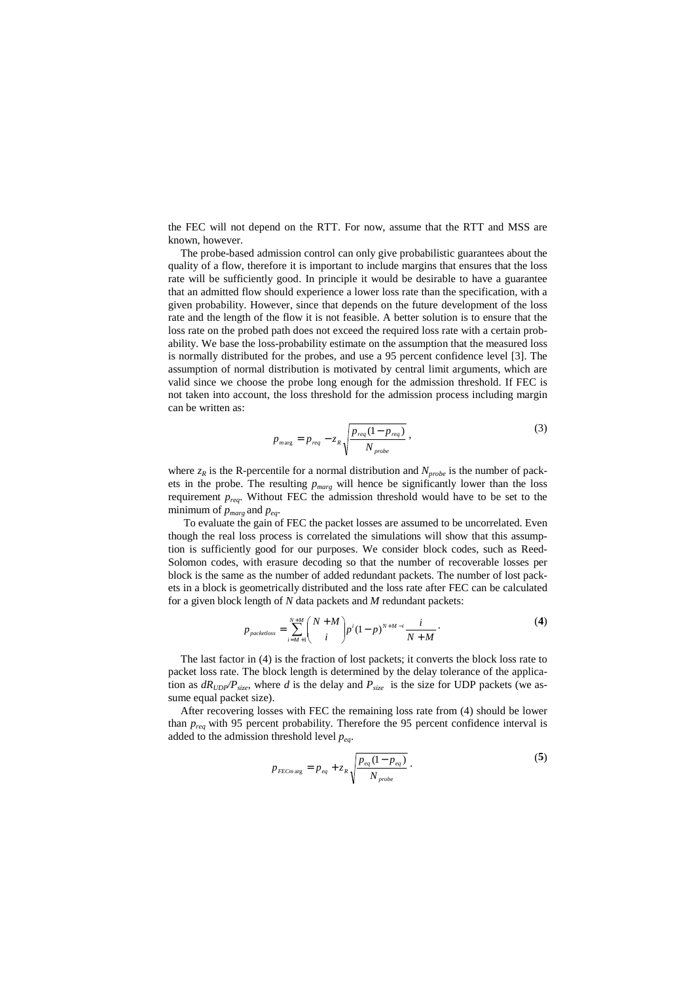the FEC will not depend on the RTT. For now, assume that the RTT and MSS are known, however.

The probe-based admission control can only give probabilistic guarantees about the quality of a flow, therefore it is important to include margins that ensures that the loss rate will be sufficiently good. In principle it would be desirable to have a guarantee that an admitted flow should experience a lower loss rate than the specification, with a given probability. However, since that depends on the future development of the loss rate and the length of the flow it is not feasible. A better solution is to ensure that the loss rate on the probed path does not exceed the required loss rate with a certain probability. We base the loss-probability estimate on the assumption that the measured loss is normally distributed for the probes, and use a 95 percent confidence level [3]. The assumption of normal distribution is motivated by central limit arguments, which are valid since we choose the probe long enough for the admission threshold. If FEC is not taken into account, the loss threshold for the admission process including margin can be written as:

$$
p_{\text{mag}} = p_{\text{req}} - z_R \sqrt{\frac{p_{\text{req}} (1 - p_{\text{req}})}{N_{\text{probe}}}} \,,\tag{3}
$$

where  $z_R$  is the R-percentile for a normal distribution and  $N_{probe}$  is the number of packets in the probe. The resulting *pmarg* will hence be significantly lower than the loss requirement *preq*. Without FEC the admission threshold would have to be set to the minimum of *pmarg* and *peq*.

To evaluate the gain of FEC the packet losses are assumed to be uncorrelated. Even though the real loss process is correlated the simulations will show that this assumption is sufficiently good for our purposes. We consider block codes, such as Reed-Solomon codes, with erasure decoding so that the number of recoverable losses per block is the same as the number of added redundant packets. The number of lost packets in a block is geometrically distributed and the loss rate after FEC can be calculated for a given block length of *N* data packets and *M* redundant packets:

$$
p_{\text{packetloss}} = \sum_{i=M+1}^{N+M} {N+M \choose i} p^{i} (1-p)^{N+M-i} \frac{i}{N+M}.
$$
 (4)

The last factor in (4) is the fraction of lost packets; it converts the block loss rate to packet loss rate. The block length is determined by the delay tolerance of the application as  $dR_{UDP}/P_{size}$ , where *d* is the delay and  $P_{size}$  is the size for UDP packets (we assume equal packet size).

After recovering losses with FEC the remaining loss rate from (4) should be lower than *preq* with 95 percent probability. Therefore the 95 percent confidence interval is added to the admission threshold level *peq*.

$$
p_{\text{FEC} \text{mag}} = p_{\text{eq}} + z_R \sqrt{\frac{p_{\text{eq}} (1 - p_{\text{eq}})}{N_{\text{probe}}}} \,. \tag{5}
$$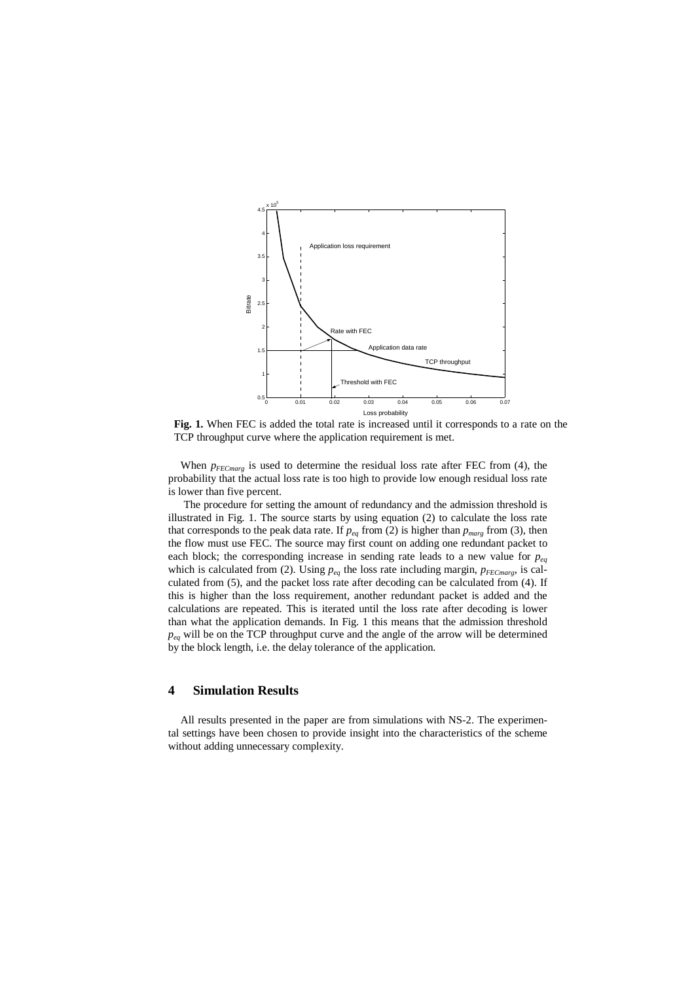

**Fig. 1.** When FEC is added the total rate is increased until it corresponds to a rate on the TCP throughput curve where the application requirement is met.

When  $p_{FECmarg}$  is used to determine the residual loss rate after FEC from (4), the probability that the actual loss rate is too high to provide low enough residual loss rate is lower than five percent.

The procedure for setting the amount of redundancy and the admission threshold is illustrated in Fig. 1. The source starts by using equation (2) to calculate the loss rate that corresponds to the peak data rate. If  $p_{eq}$  from (2) is higher than  $p_{marg}$  from (3), then the flow must use FEC. The source may first count on adding one redundant packet to each block; the corresponding increase in sending rate leads to a new value for *peq* which is calculated from (2). Using  $p_{eq}$  the loss rate including margin,  $p_{FECmarg}$ , is calculated from (5), and the packet loss rate after decoding can be calculated from (4). If this is higher than the loss requirement, another redundant packet is added and the calculations are repeated. This is iterated until the loss rate after decoding is lower than what the application demands. In Fig. 1 this means that the admission threshold  $p_{eq}$  will be on the TCP throughput curve and the angle of the arrow will be determined by the block length, i.e. the delay tolerance of the application.

# **4 Simulation Results**

All results presented in the paper are from simulations with NS-2. The experimental settings have been chosen to provide insight into the characteristics of the scheme without adding unnecessary complexity.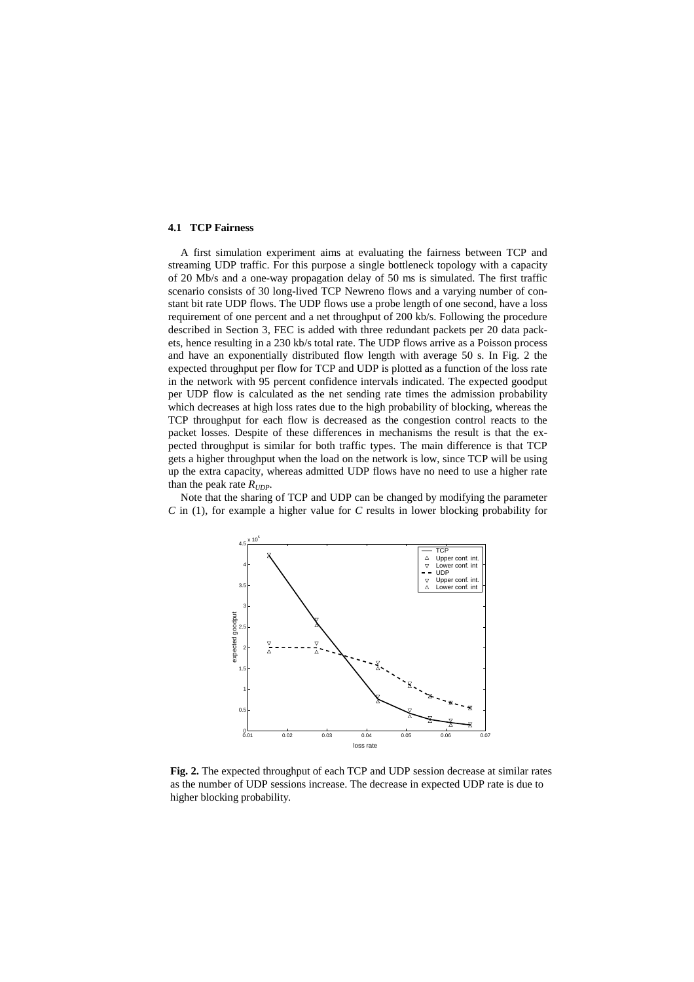# **4.1 TCP Fairness**

A first simulation experiment aims at evaluating the fairness between TCP and streaming UDP traffic. For this purpose a single bottleneck topology with a capacity of 20 Mb/s and a one-way propagation delay of 50 ms is simulated. The first traffic scenario consists of 30 long-lived TCP Newreno flows and a varying number of constant bit rate UDP flows. The UDP flows use a probe length of one second, have a loss requirement of one percent and a net throughput of 200 kb/s. Following the procedure described in Section 3, FEC is added with three redundant packets per 20 data packets, hence resulting in a 230 kb/s total rate. The UDP flows arrive as a Poisson process and have an exponentially distributed flow length with average 50 s. In Fig. 2 the expected throughput per flow for TCP and UDP is plotted as a function of the loss rate in the network with 95 percent confidence intervals indicated. The expected goodput per UDP flow is calculated as the net sending rate times the admission probability which decreases at high loss rates due to the high probability of blocking, whereas the TCP throughput for each flow is decreased as the congestion control reacts to the packet losses. Despite of these differences in mechanisms the result is that the expected throughput is similar for both traffic types. The main difference is that TCP gets a higher throughput when the load on the network is low, since TCP will be using up the extra capacity, whereas admitted UDP flows have no need to use a higher rate than the peak rate  $R_{UDP}$ .

Note that the sharing of TCP and UDP can be changed by modifying the parameter *C* in (1), for example a higher value for *C* results in lower blocking probability for



**Fig. 2.** The expected throughput of each TCP and UDP session decrease at similar rates as the number of UDP sessions increase. The decrease in expected UDP rate is due to higher blocking probability.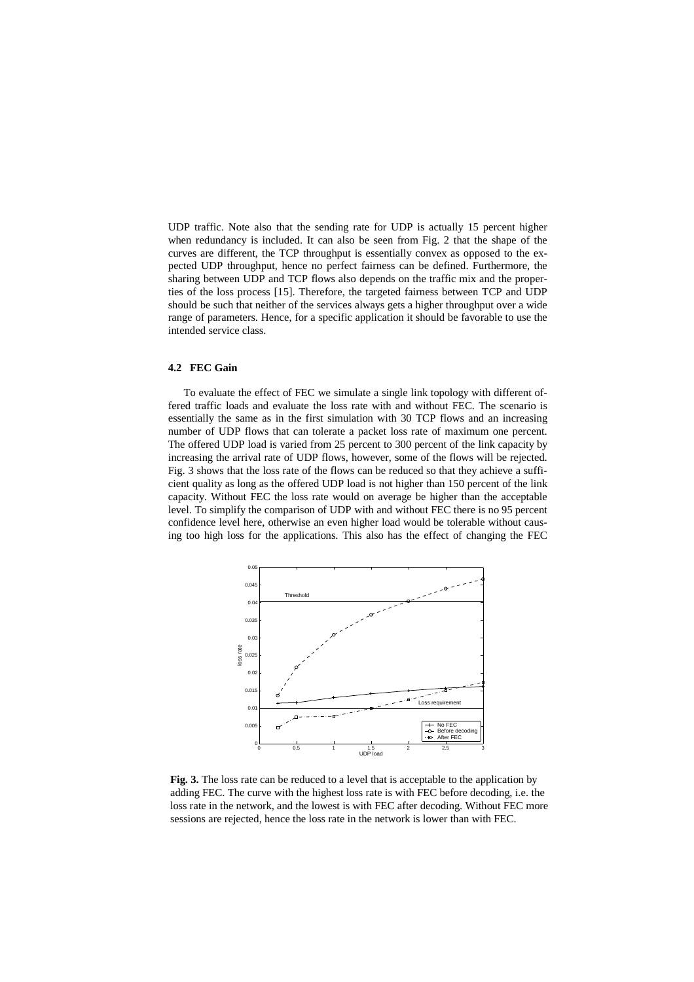UDP traffic. Note also that the sending rate for UDP is actually 15 percent higher when redundancy is included. It can also be seen from Fig. 2 that the shape of the curves are different, the TCP throughput is essentially convex as opposed to the expected UDP throughput, hence no perfect fairness can be defined. Furthermore, the sharing between UDP and TCP flows also depends on the traffic mix and the properties of the loss process [15]. Therefore, the targeted fairness between TCP and UDP should be such that neither of the services always gets a higher throughput over a wide range of parameters. Hence, for a specific application it should be favorable to use the intended service class.

# **4.2 FEC Gain**

To evaluate the effect of FEC we simulate a single link topology with different offered traffic loads and evaluate the loss rate with and without FEC. The scenario is essentially the same as in the first simulation with 30 TCP flows and an increasing number of UDP flows that can tolerate a packet loss rate of maximum one percent. The offered UDP load is varied from 25 percent to 300 percent of the link capacity by increasing the arrival rate of UDP flows, however, some of the flows will be rejected. Fig. 3 shows that the loss rate of the flows can be reduced so that they achieve a sufficient quality as long as the offered UDP load is not higher than 150 percent of the link capacity. Without FEC the loss rate would on average be higher than the acceptable level. To simplify the comparison of UDP with and without FEC there is no 95 percent confidence level here, otherwise an even higher load would be tolerable without causing too high loss for the applications. This also has the effect of changing the FEC



**Fig. 3.** The loss rate can be reduced to a level that is acceptable to the application by adding FEC. The curve with the highest loss rate is with FEC before decoding, i.e. the loss rate in the network, and the lowest is with FEC after decoding. Without FEC more sessions are rejected, hence the loss rate in the network is lower than with FEC.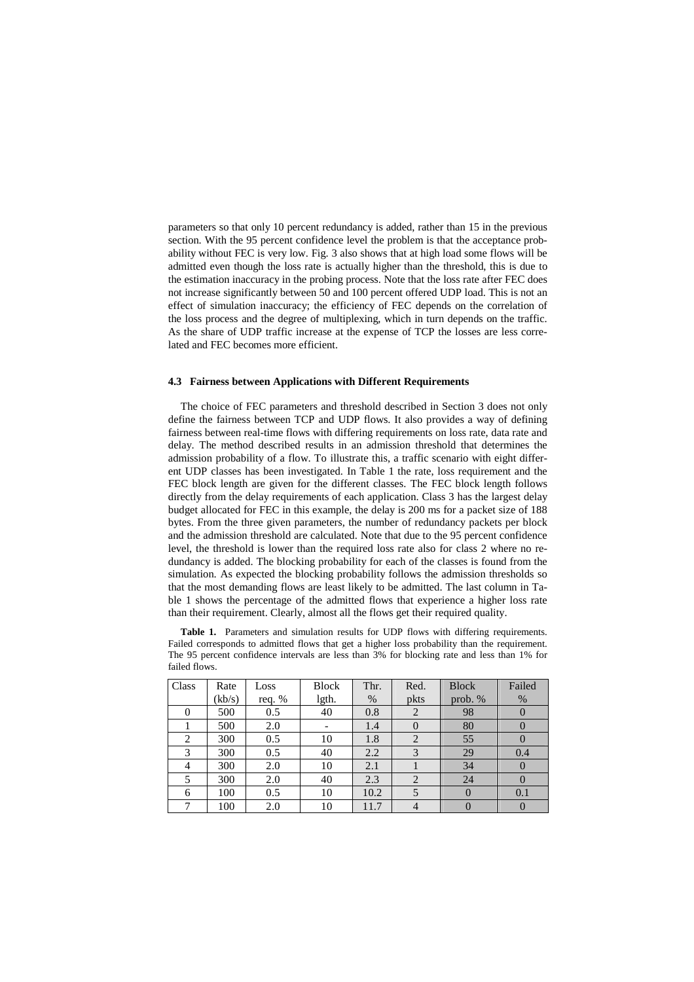parameters so that only 10 percent redundancy is added, rather than 15 in the previous section. With the 95 percent confidence level the problem is that the acceptance probability without FEC is very low. Fig. 3 also shows that at high load some flows will be admitted even though the loss rate is actually higher than the threshold, this is due to the estimation inaccuracy in the probing process. Note that the loss rate after FEC does not increase significantly between 50 and 100 percent offered UDP load. This is not an effect of simulation inaccuracy; the efficiency of FEC depends on the correlation of the loss process and the degree of multiplexing, which in turn depends on the traffic. As the share of UDP traffic increase at the expense of TCP the losses are less correlated and FEC becomes more efficient.

#### **4.3 Fairness between Applications with Different Requirements**

The choice of FEC parameters and threshold described in Section 3 does not only define the fairness between TCP and UDP flows. It also provides a way of defining fairness between real-time flows with differing requirements on loss rate, data rate and delay. The method described results in an admission threshold that determines the admission probability of a flow. To illustrate this, a traffic scenario with eight different UDP classes has been investigated. In Table 1 the rate, loss requirement and the FEC block length are given for the different classes. The FEC block length follows directly from the delay requirements of each application. Class 3 has the largest delay budget allocated for FEC in this example, the delay is 200 ms for a packet size of 188 bytes. From the three given parameters, the number of redundancy packets per block and the admission threshold are calculated. Note that due to the 95 percent confidence level, the threshold is lower than the required loss rate also for class 2 where no redundancy is added. The blocking probability for each of the classes is found from the simulation. As expected the blocking probability follows the admission thresholds so that the most demanding flows are least likely to be admitted. The last column in Table 1 shows the percentage of the admitted flows that experience a higher loss rate than their requirement. Clearly, almost all the flows get their required quality.

**Table 1.** Parameters and simulation results for UDP flows with differing requirements. Failed corresponds to admitted flows that get a higher loss probability than the requirement. The 95 percent confidence intervals are less than 3% for blocking rate and less than 1% for failed flows.

| Class          | Rate   | Loss     | <b>Block</b> | Thr. | Red.           | <b>Block</b> | Failed   |
|----------------|--------|----------|--------------|------|----------------|--------------|----------|
|                | (kb/s) | req. $%$ | lgth.        | %    | pkts           | prob. %      | %        |
| 0              | 500    | 0.5      | 40           | 0.8  |                | 98           |          |
|                | 500    | 2.0      |              | 1.4  |                | 80           |          |
| $\overline{2}$ | 300    | 0.5      | 10           | 1.8  | $\overline{2}$ | 55           |          |
| 3              | 300    | 0.5      | 40           | 2.2  | 3              | 29           | 0.4      |
| 4              | 300    | 2.0      | 10           | 2.1  |                | 34           | $\theta$ |
|                | 300    | 2.0      | 40           | 2.3  | $\overline{2}$ | 24           | $\Omega$ |
| 6              | 100    | 0.5      | 10           | 10.2 |                |              | 0.1      |
|                | 100    | 2.0      | 10           | 11.7 |                |              |          |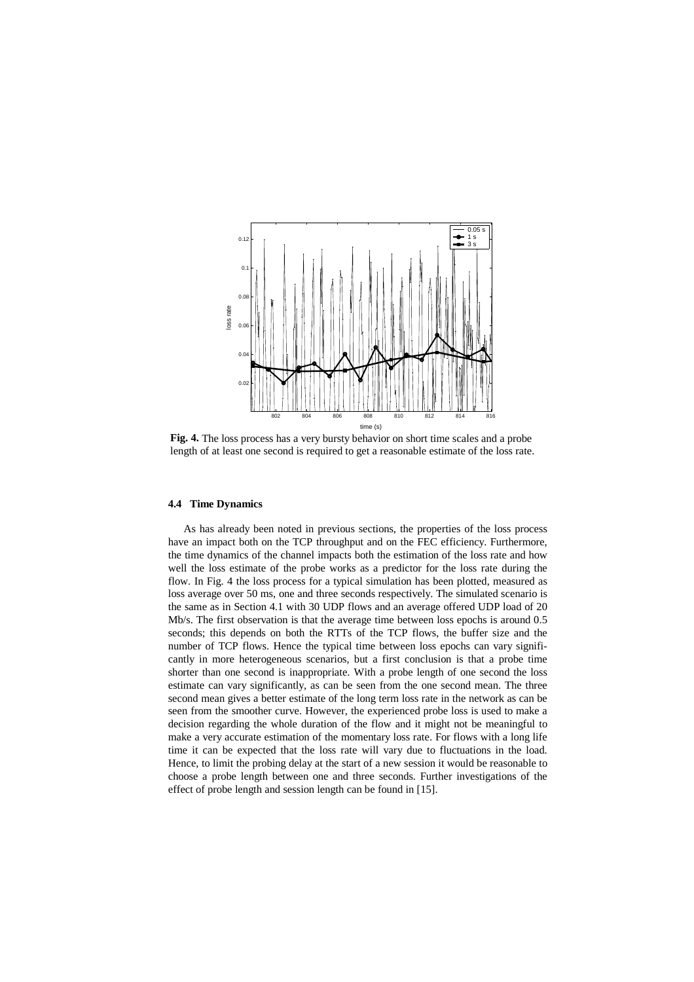

**Fig. 4.** The loss process has a very bursty behavior on short time scales and a probe length of at least one second is required to get a reasonable estimate of the loss rate.

### **4.4 Time Dynamics**

As has already been noted in previous sections, the properties of the loss process have an impact both on the TCP throughput and on the FEC efficiency. Furthermore, the time dynamics of the channel impacts both the estimation of the loss rate and how well the loss estimate of the probe works as a predictor for the loss rate during the flow. In Fig. 4 the loss process for a typical simulation has been plotted, measured as loss average over 50 ms, one and three seconds respectively. The simulated scenario is the same as in Section 4.1 with 30 UDP flows and an average offered UDP load of 20 Mb/s. The first observation is that the average time between loss epochs is around 0.5 seconds; this depends on both the RTTs of the TCP flows, the buffer size and the number of TCP flows. Hence the typical time between loss epochs can vary significantly in more heterogeneous scenarios, but a first conclusion is that a probe time shorter than one second is inappropriate. With a probe length of one second the loss estimate can vary significantly, as can be seen from the one second mean. The three second mean gives a better estimate of the long term loss rate in the network as can be seen from the smoother curve. However, the experienced probe loss is used to make a decision regarding the whole duration of the flow and it might not be meaningful to make a very accurate estimation of the momentary loss rate. For flows with a long life time it can be expected that the loss rate will vary due to fluctuations in the load. Hence, to limit the probing delay at the start of a new session it would be reasonable to choose a probe length between one and three seconds. Further investigations of the effect of probe length and session length can be found in [15].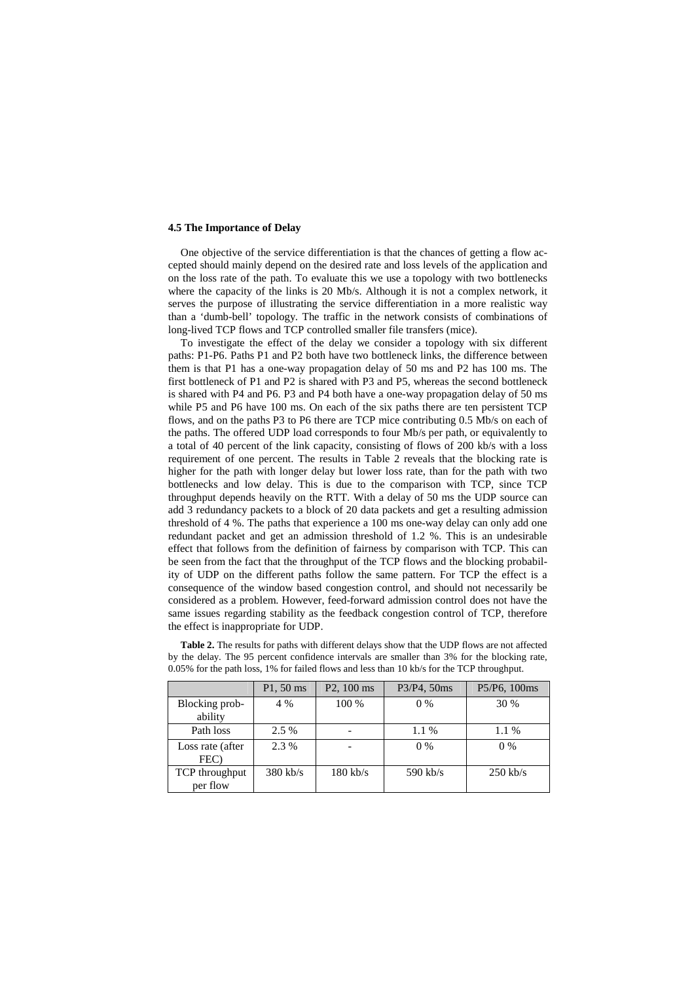#### **4.5 The Importance of Delay**

One objective of the service differentiation is that the chances of getting a flow accepted should mainly depend on the desired rate and loss levels of the application and on the loss rate of the path. To evaluate this we use a topology with two bottlenecks where the capacity of the links is 20 Mb/s. Although it is not a complex network, it serves the purpose of illustrating the service differentiation in a more realistic way than a 'dumb-bell' topology. The traffic in the network consists of combinations of long-lived TCP flows and TCP controlled smaller file transfers (mice).

To investigate the effect of the delay we consider a topology with six different paths: P1-P6. Paths P1 and P2 both have two bottleneck links, the difference between them is that P1 has a one-way propagation delay of 50 ms and P2 has 100 ms. The first bottleneck of P1 and P2 is shared with P3 and P5, whereas the second bottleneck is shared with P4 and P6. P3 and P4 both have a one-way propagation delay of 50 ms while P5 and P6 have 100 ms. On each of the six paths there are ten persistent TCP flows, and on the paths P3 to P6 there are TCP mice contributing 0.5 Mb/s on each of the paths. The offered UDP load corresponds to four Mb/s per path, or equivalently to a total of 40 percent of the link capacity, consisting of flows of 200 kb/s with a loss requirement of one percent. The results in Table 2 reveals that the blocking rate is higher for the path with longer delay but lower loss rate, than for the path with two bottlenecks and low delay. This is due to the comparison with TCP, since TCP throughput depends heavily on the RTT. With a delay of 50 ms the UDP source can add 3 redundancy packets to a block of 20 data packets and get a resulting admission threshold of 4 %. The paths that experience a 100 ms one-way delay can only add one redundant packet and get an admission threshold of 1.2 %. This is an undesirable effect that follows from the definition of fairness by comparison with TCP. This can be seen from the fact that the throughput of the TCP flows and the blocking probability of UDP on the different paths follow the same pattern. For TCP the effect is a consequence of the window based congestion control, and should not necessarily be considered as a problem. However, feed-forward admission control does not have the same issues regarding stability as the feedback congestion control of TCP, therefore the effect is inappropriate for UDP.

|                            | P1, 50 ms  | P <sub>2</sub> , 100 ms | P3/P4, 50ms | P5/P6, 100ms |
|----------------------------|------------|-------------------------|-------------|--------------|
| Blocking prob-<br>ability  | 4 %        | 100 %                   | $0\%$       | 30 %         |
| Path loss                  | 2.5 %      |                         | 1.1 %       | 1.1 %        |
| Loss rate (after<br>FEC)   | 2.3 %      |                         | $0\%$       | $0\%$        |
| TCP throughput<br>per flow | $380$ kb/s | $180$ kb/s              | 590 kb/s    | $250$ kb/s   |

**Table 2.** The results for paths with different delays show that the UDP flows are not affected by the delay. The 95 percent confidence intervals are smaller than 3% for the blocking rate, 0.05% for the path loss, 1% for failed flows and less than 10 kb/s for the TCP throughput.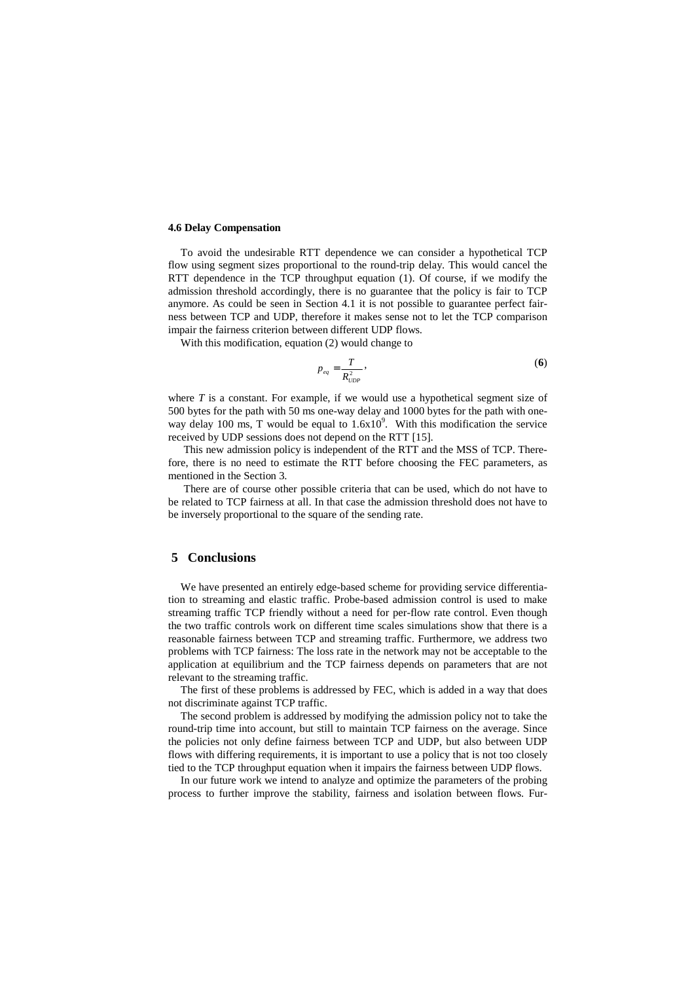#### **4.6 Delay Compensation**

To avoid the undesirable RTT dependence we can consider a hypothetical TCP flow using segment sizes proportional to the round-trip delay. This would cancel the RTT dependence in the TCP throughput equation (1). Of course, if we modify the admission threshold accordingly, there is no guarantee that the policy is fair to TCP anymore. As could be seen in Section 4.1 it is not possible to guarantee perfect fairness between TCP and UDP, therefore it makes sense not to let the TCP comparison impair the fairness criterion between different UDP flows.

With this modification, equation (2) would change to

$$
p_{eq} = \frac{T}{R_{\text{UDP}}^2},\tag{6}
$$

where *T* is a constant. For example, if we would use a hypothetical segment size of 500 bytes for the path with 50 ms one-way delay and 1000 bytes for the path with oneway delay 100 ms, T would be equal to  $1.6x10^9$ . With this modification the service received by UDP sessions does not depend on the RTT [15].

This new admission policy is independent of the RTT and the MSS of TCP. Therefore, there is no need to estimate the RTT before choosing the FEC parameters, as mentioned in the Section 3.

There are of course other possible criteria that can be used, which do not have to be related to TCP fairness at all. In that case the admission threshold does not have to be inversely proportional to the square of the sending rate.

# **5 Conclusions**

We have presented an entirely edge-based scheme for providing service differentiation to streaming and elastic traffic. Probe-based admission control is used to make streaming traffic TCP friendly without a need for per-flow rate control. Even though the two traffic controls work on different time scales simulations show that there is a reasonable fairness between TCP and streaming traffic. Furthermore, we address two problems with TCP fairness: The loss rate in the network may not be acceptable to the application at equilibrium and the TCP fairness depends on parameters that are not relevant to the streaming traffic.

The first of these problems is addressed by FEC, which is added in a way that does not discriminate against TCP traffic.

The second problem is addressed by modifying the admission policy not to take the round-trip time into account, but still to maintain TCP fairness on the average. Since the policies not only define fairness between TCP and UDP, but also between UDP flows with differing requirements, it is important to use a policy that is not too closely tied to the TCP throughput equation when it impairs the fairness between UDP flows.

In our future work we intend to analyze and optimize the parameters of the probing process to further improve the stability, fairness and isolation between flows. Fur